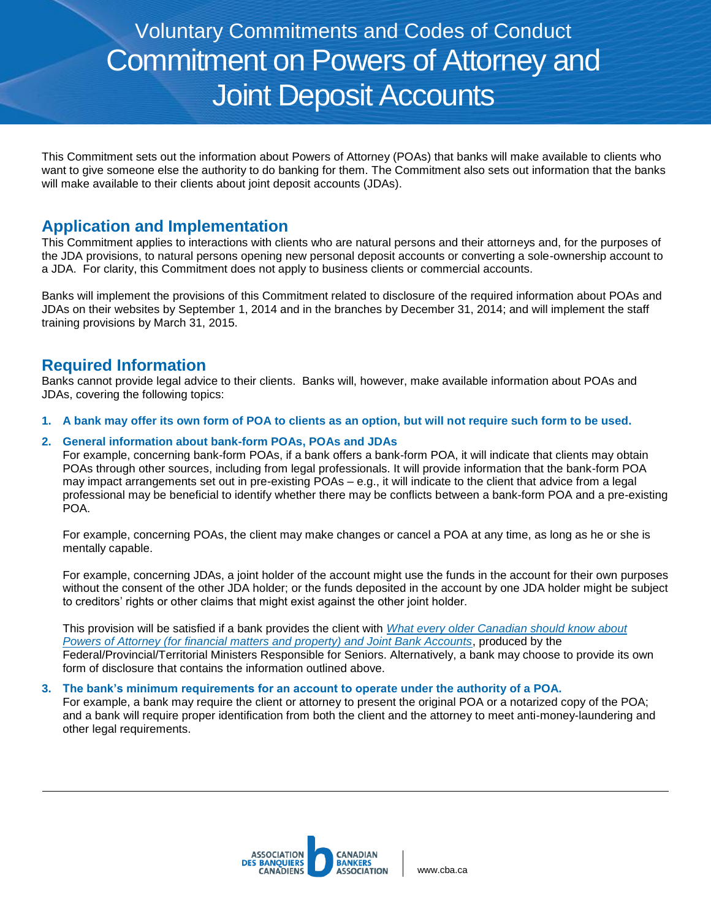# Voluntary Commitments and Codes of Conduct Commitment on Powers of Attorney and Joint Deposit Accounts

This Commitment sets out the information about Powers of Attorney (POAs) that banks will make available to clients who want to give someone else the authority to do banking for them. The Commitment also sets out information that the banks will make available to their clients about joint deposit accounts (JDAs).

## **Application and Implementation**

This Commitment applies to interactions with clients who are natural persons and their attorneys and, for the purposes of the JDA provisions, to natural persons opening new personal deposit accounts or converting a sole-ownership account to a JDA. For clarity, this Commitment does not apply to business clients or commercial accounts.

Banks will implement the provisions of this Commitment related to disclosure of the required information about POAs and JDAs on their websites by September 1, 2014 and in the branches by December 31, 2014; and will implement the staff training provisions by March 31, 2015.

## **Required Information**

Banks cannot provide legal advice to their clients. Banks will, however, make available information about POAs and JDAs, covering the following topics:

**1. A bank may offer its own form of POA to clients as an option, but will not require such form to be used.** 

#### **2. General information about bank-form POAs, POAs and JDAs**

For example, concerning bank-form POAs, if a bank offers a bank-form POA, it will indicate that clients may obtain POAs through other sources, including from legal professionals. It will provide information that the bank-form POA may impact arrangements set out in pre-existing POAs – e.g., it will indicate to the client that advice from a legal professional may be beneficial to identify whether there may be conflicts between a bank-form POA and a pre-existing POA.

For example, concerning POAs, the client may make changes or cancel a POA at any time, as long as he or she is mentally capable.

For example, concerning JDAs, a joint holder of the account might use the funds in the account for their own purposes without the consent of the other JDA holder; or the funds deposited in the account by one JDA holder might be subject to creditors' rights or other claims that might exist against the other joint holder.

This provision will be satisfied if a bank provides the client with *[What every older Canadian should know about](http://www.seniors.gc.ca/eng/working/fptf/attorney.shtml)  [Powers of Attorney \(for financial matters and property\) and Joint Bank Accounts](http://www.seniors.gc.ca/eng/working/fptf/attorney.shtml)*, produced by the Federal/Provincial/Territorial Ministers Responsible for Seniors. Alternatively, a bank may choose to provide its own form of disclosure that contains the information outlined above.

#### **3. The bank's minimum requirements for an account to operate under the authority of a POA.**

For example, a bank may require the client or attorney to present the original POA or a notarized copy of the POA; and a bank will require proper identification from both the client and the attorney to meet anti-money-laundering and other legal requirements.